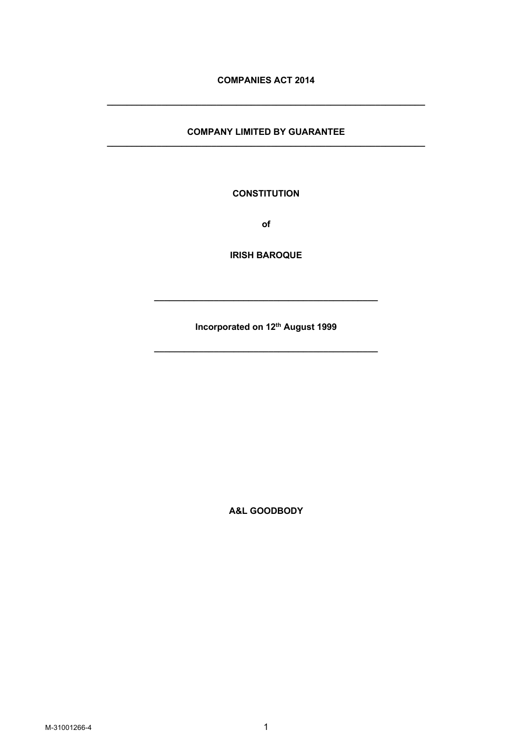# **COMPANIES ACT 2014**

**\_\_\_\_\_\_\_\_\_\_\_\_\_\_\_\_\_\_\_\_\_\_\_\_\_\_\_\_\_\_\_\_\_\_\_\_\_\_\_\_\_\_\_\_\_\_\_\_\_\_\_\_\_\_\_\_\_\_\_\_\_\_\_\_**

### **COMPANY LIMITED BY GUARANTEE \_\_\_\_\_\_\_\_\_\_\_\_\_\_\_\_\_\_\_\_\_\_\_\_\_\_\_\_\_\_\_\_\_\_\_\_\_\_\_\_\_\_\_\_\_\_\_\_\_\_\_\_\_\_\_\_\_\_\_\_\_\_\_\_**

**CONSTITUTION**

**of**

**IRISH BAROQUE**

**Incorporated on 12th August 1999**

**\_\_\_\_\_\_\_\_\_\_\_\_\_\_\_\_\_\_\_\_\_\_\_\_\_\_\_\_\_\_\_\_\_\_\_\_\_\_\_\_\_\_\_\_\_**

**\_\_\_\_\_\_\_\_\_\_\_\_\_\_\_\_\_\_\_\_\_\_\_\_\_\_\_\_\_\_\_\_\_\_\_\_\_\_\_\_\_\_\_\_\_**

**A&L GOODBODY**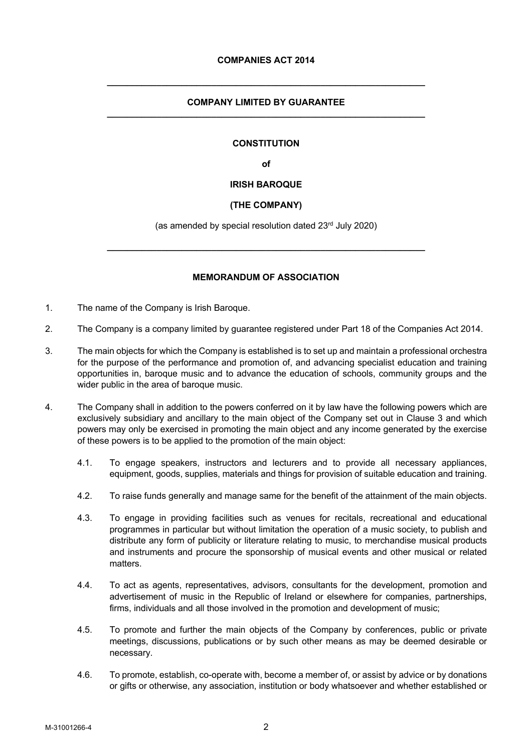### **COMPANY LIMITED BY GUARANTEE \_\_\_\_\_\_\_\_\_\_\_\_\_\_\_\_\_\_\_\_\_\_\_\_\_\_\_\_\_\_\_\_\_\_\_\_\_\_\_\_\_\_\_\_\_\_\_\_\_\_\_\_\_\_\_\_\_\_\_\_\_\_\_\_**

**\_\_\_\_\_\_\_\_\_\_\_\_\_\_\_\_\_\_\_\_\_\_\_\_\_\_\_\_\_\_\_\_\_\_\_\_\_\_\_\_\_\_\_\_\_\_\_\_\_\_\_\_\_\_\_\_\_\_\_\_\_\_\_\_**

## **CONSTITUTION**

**of**

## **IRISH BAROQUE**

## **(THE COMPANY)**

(as amended by special resolution dated 23rd July 2020)

**\_\_\_\_\_\_\_\_\_\_\_\_\_\_\_\_\_\_\_\_\_\_\_\_\_\_\_\_\_\_\_\_\_\_\_\_\_\_\_\_\_\_\_\_\_\_\_\_\_\_\_\_\_\_\_\_\_\_\_\_\_\_\_\_**

## **MEMORANDUM OF ASSOCIATION**

- 1. The name of the Company is Irish Baroque.
- 2. The Company is a company limited by guarantee registered under Part 18 of the Companies Act 2014.
- 3. The main objects for which the Company is established is to set up and maintain a professional orchestra for the purpose of the performance and promotion of, and advancing specialist education and training opportunities in, baroque music and to advance the education of schools, community groups and the wider public in the area of baroque music.
- 4. The Company shall in addition to the powers conferred on it by law have the following powers which are exclusively subsidiary and ancillary to the main object of the Company set out in Clause 3 and which powers may only be exercised in promoting the main object and any income generated by the exercise of these powers is to be applied to the promotion of the main object:
	- 4.1. To engage speakers, instructors and lecturers and to provide all necessary appliances, equipment, goods, supplies, materials and things for provision of suitable education and training.
	- 4.2. To raise funds generally and manage same for the benefit of the attainment of the main objects.
	- 4.3. To engage in providing facilities such as venues for recitals, recreational and educational programmes in particular but without limitation the operation of a music society, to publish and distribute any form of publicity or literature relating to music, to merchandise musical products and instruments and procure the sponsorship of musical events and other musical or related matters.
	- 4.4. To act as agents, representatives, advisors, consultants for the development, promotion and advertisement of music in the Republic of Ireland or elsewhere for companies, partnerships, firms, individuals and all those involved in the promotion and development of music;
	- 4.5. To promote and further the main objects of the Company by conferences, public or private meetings, discussions, publications or by such other means as may be deemed desirable or necessary.
	- 4.6. To promote, establish, co-operate with, become a member of, or assist by advice or by donations or gifts or otherwise, any association, institution or body whatsoever and whether established or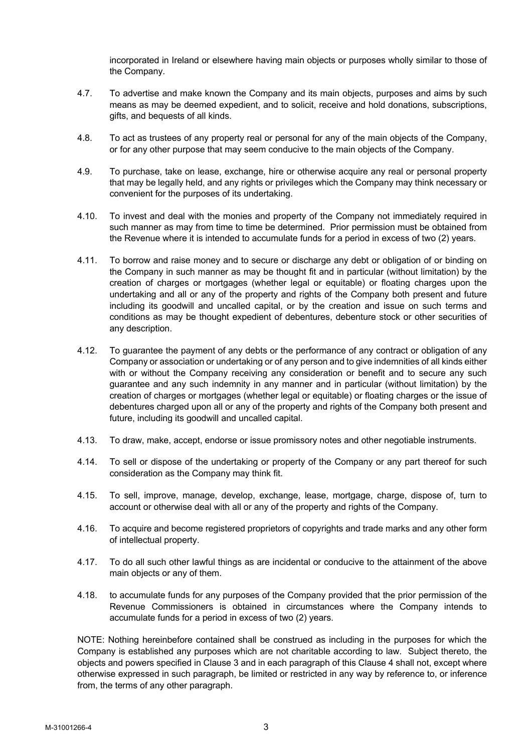incorporated in Ireland or elsewhere having main objects or purposes wholly similar to those of the Company.

- 4.7. To advertise and make known the Company and its main objects, purposes and aims by such means as may be deemed expedient, and to solicit, receive and hold donations, subscriptions, gifts, and bequests of all kinds.
- 4.8. To act as trustees of any property real or personal for any of the main objects of the Company, or for any other purpose that may seem conducive to the main objects of the Company.
- 4.9. To purchase, take on lease, exchange, hire or otherwise acquire any real or personal property that may be legally held, and any rights or privileges which the Company may think necessary or convenient for the purposes of its undertaking.
- 4.10. To invest and deal with the monies and property of the Company not immediately required in such manner as may from time to time be determined. Prior permission must be obtained from the Revenue where it is intended to accumulate funds for a period in excess of two (2) years.
- 4.11. To borrow and raise money and to secure or discharge any debt or obligation of or binding on the Company in such manner as may be thought fit and in particular (without limitation) by the creation of charges or mortgages (whether legal or equitable) or floating charges upon the undertaking and all or any of the property and rights of the Company both present and future including its goodwill and uncalled capital, or by the creation and issue on such terms and conditions as may be thought expedient of debentures, debenture stock or other securities of any description.
- 4.12. To guarantee the payment of any debts or the performance of any contract or obligation of any Company or association or undertaking or of any person and to give indemnities of all kinds either with or without the Company receiving any consideration or benefit and to secure any such guarantee and any such indemnity in any manner and in particular (without limitation) by the creation of charges or mortgages (whether legal or equitable) or floating charges or the issue of debentures charged upon all or any of the property and rights of the Company both present and future, including its goodwill and uncalled capital.
- 4.13. To draw, make, accept, endorse or issue promissory notes and other negotiable instruments.
- 4.14. To sell or dispose of the undertaking or property of the Company or any part thereof for such consideration as the Company may think fit.
- 4.15. To sell, improve, manage, develop, exchange, lease, mortgage, charge, dispose of, turn to account or otherwise deal with all or any of the property and rights of the Company.
- 4.16. To acquire and become registered proprietors of copyrights and trade marks and any other form of intellectual property.
- 4.17. To do all such other lawful things as are incidental or conducive to the attainment of the above main objects or any of them.
- 4.18. to accumulate funds for any purposes of the Company provided that the prior permission of the Revenue Commissioners is obtained in circumstances where the Company intends to accumulate funds for a period in excess of two (2) years.

NOTE: Nothing hereinbefore contained shall be construed as including in the purposes for which the Company is established any purposes which are not charitable according to law. Subject thereto, the objects and powers specified in Clause 3 and in each paragraph of this Clause 4 shall not, except where otherwise expressed in such paragraph, be limited or restricted in any way by reference to, or inference from, the terms of any other paragraph.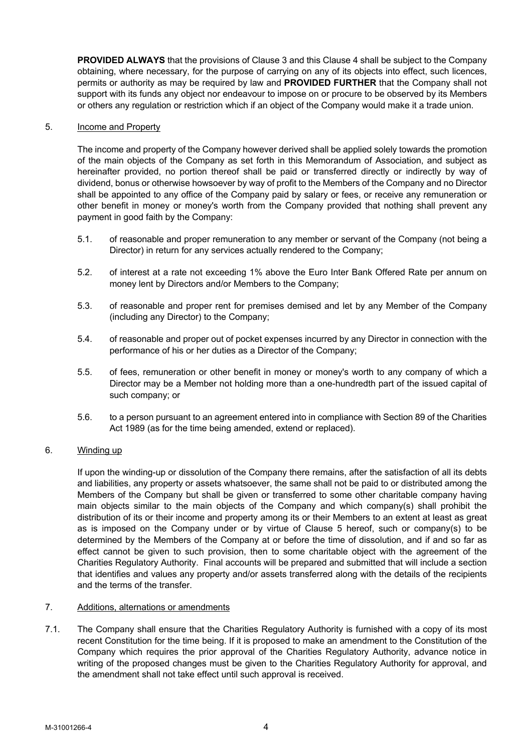**PROVIDED ALWAYS** that the provisions of Clause 3 and this Clause 4 shall be subject to the Company obtaining, where necessary, for the purpose of carrying on any of its objects into effect, such licences, permits or authority as may be required by law and **PROVIDED FURTHER** that the Company shall not support with its funds any object nor endeavour to impose on or procure to be observed by its Members or others any regulation or restriction which if an object of the Company would make it a trade union.

## 5. Income and Property

The income and property of the Company however derived shall be applied solely towards the promotion of the main objects of the Company as set forth in this Memorandum of Association, and subject as hereinafter provided, no portion thereof shall be paid or transferred directly or indirectly by way of dividend, bonus or otherwise howsoever by way of profit to the Members of the Company and no Director shall be appointed to any office of the Company paid by salary or fees, or receive any remuneration or other benefit in money or money's worth from the Company provided that nothing shall prevent any payment in good faith by the Company:

- 5.1. of reasonable and proper remuneration to any member or servant of the Company (not being a Director) in return for any services actually rendered to the Company;
- 5.2. of interest at a rate not exceeding 1% above the Euro Inter Bank Offered Rate per annum on money lent by Directors and/or Members to the Company;
- 5.3. of reasonable and proper rent for premises demised and let by any Member of the Company (including any Director) to the Company;
- 5.4. of reasonable and proper out of pocket expenses incurred by any Director in connection with the performance of his or her duties as a Director of the Company;
- 5.5. of fees, remuneration or other benefit in money or money's worth to any company of which a Director may be a Member not holding more than a one-hundredth part of the issued capital of such company; or
- 5.6. to a person pursuant to an agreement entered into in compliance with Section 89 of the Charities Act 1989 (as for the time being amended, extend or replaced).

#### 6. Winding up

If upon the winding-up or dissolution of the Company there remains, after the satisfaction of all its debts and liabilities, any property or assets whatsoever, the same shall not be paid to or distributed among the Members of the Company but shall be given or transferred to some other charitable company having main objects similar to the main objects of the Company and which company(s) shall prohibit the distribution of its or their income and property among its or their Members to an extent at least as great as is imposed on the Company under or by virtue of Clause 5 hereof, such or company(s) to be determined by the Members of the Company at or before the time of dissolution, and if and so far as effect cannot be given to such provision, then to some charitable object with the agreement of the Charities Regulatory Authority. Final accounts will be prepared and submitted that will include a section that identifies and values any property and/or assets transferred along with the details of the recipients and the terms of the transfer.

### 7. Additions, alternations or amendments

7.1. The Company shall ensure that the Charities Regulatory Authority is furnished with a copy of its most recent Constitution for the time being. If it is proposed to make an amendment to the Constitution of the Company which requires the prior approval of the Charities Regulatory Authority, advance notice in writing of the proposed changes must be given to the Charities Regulatory Authority for approval, and the amendment shall not take effect until such approval is received.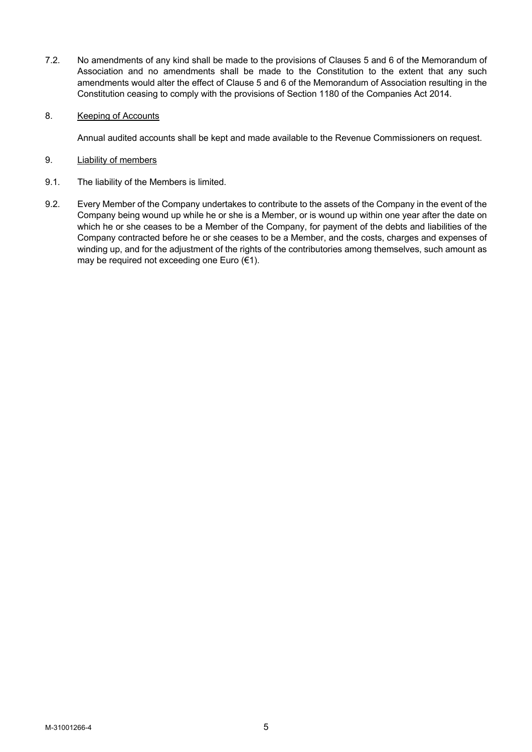7.2. No amendments of any kind shall be made to the provisions of Clauses 5 and 6 of the Memorandum of Association and no amendments shall be made to the Constitution to the extent that any such amendments would alter the effect of Clause 5 and 6 of the Memorandum of Association resulting in the Constitution ceasing to comply with the provisions of Section 1180 of the Companies Act 2014.

## 8. Keeping of Accounts

Annual audited accounts shall be kept and made available to the Revenue Commissioners on request.

### 9. Liability of members

- 9.1. The liability of the Members is limited.
- 9.2. Every Member of the Company undertakes to contribute to the assets of the Company in the event of the Company being wound up while he or she is a Member, or is wound up within one year after the date on which he or she ceases to be a Member of the Company, for payment of the debts and liabilities of the Company contracted before he or she ceases to be a Member, and the costs, charges and expenses of winding up, and for the adjustment of the rights of the contributories among themselves, such amount as may be required not exceeding one Euro (€1).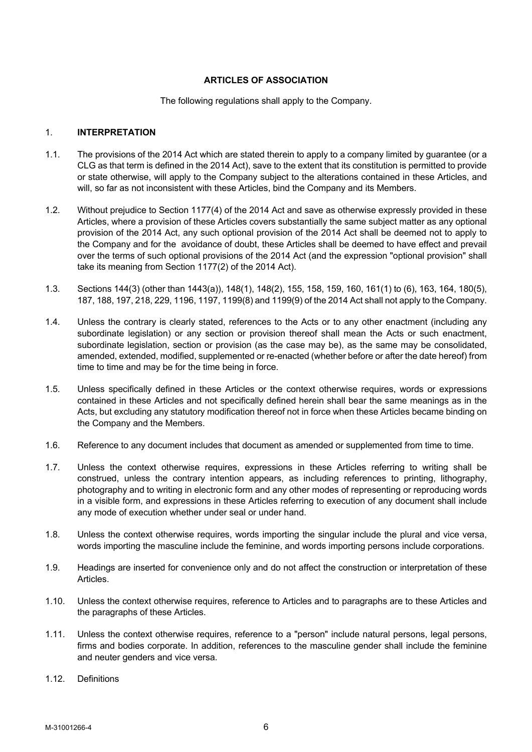## **ARTICLES OF ASSOCIATION**

### The following regulations shall apply to the Company.

## 1. **INTERPRETATION**

- 1.1. The provisions of the 2014 Act which are stated therein to apply to a company limited by guarantee (or a CLG as that term is defined in the 2014 Act), save to the extent that its constitution is permitted to provide or state otherwise, will apply to the Company subject to the alterations contained in these Articles, and will, so far as not inconsistent with these Articles, bind the Company and its Members.
- 1.2. Without prejudice to Section 1177(4) of the 2014 Act and save as otherwise expressly provided in these Articles, where a provision of these Articles covers substantially the same subject matter as any optional provision of the 2014 Act, any such optional provision of the 2014 Act shall be deemed not to apply to the Company and for the avoidance of doubt, these Articles shall be deemed to have effect and prevail over the terms of such optional provisions of the 2014 Act (and the expression "optional provision" shall take its meaning from Section 1177(2) of the 2014 Act).
- 1.3. Sections 144(3) (other than 1443(a)), 148(1), 148(2), 155, 158, 159, 160, 161(1) to (6), 163, 164, 180(5), 187, 188, 197, 218, 229, 1196, 1197, 1199(8) and 1199(9) of the 2014 Act shall not apply to the Company.
- 1.4. Unless the contrary is clearly stated, references to the Acts or to any other enactment (including any subordinate legislation) or any section or provision thereof shall mean the Acts or such enactment, subordinate legislation, section or provision (as the case may be), as the same may be consolidated, amended, extended, modified, supplemented or re-enacted (whether before or after the date hereof) from time to time and may be for the time being in force.
- 1.5. Unless specifically defined in these Articles or the context otherwise requires, words or expressions contained in these Articles and not specifically defined herein shall bear the same meanings as in the Acts, but excluding any statutory modification thereof not in force when these Articles became binding on the Company and the Members.
- 1.6. Reference to any document includes that document as amended or supplemented from time to time.
- 1.7. Unless the context otherwise requires, expressions in these Articles referring to writing shall be construed, unless the contrary intention appears, as including references to printing, lithography, photography and to writing in electronic form and any other modes of representing or reproducing words in a visible form, and expressions in these Articles referring to execution of any document shall include any mode of execution whether under seal or under hand.
- 1.8. Unless the context otherwise requires, words importing the singular include the plural and vice versa, words importing the masculine include the feminine, and words importing persons include corporations.
- 1.9. Headings are inserted for convenience only and do not affect the construction or interpretation of these Articles.
- 1.10. Unless the context otherwise requires, reference to Articles and to paragraphs are to these Articles and the paragraphs of these Articles.
- 1.11. Unless the context otherwise requires, reference to a "person" include natural persons, legal persons, firms and bodies corporate. In addition, references to the masculine gender shall include the feminine and neuter genders and vice versa.
- 1.12. Definitions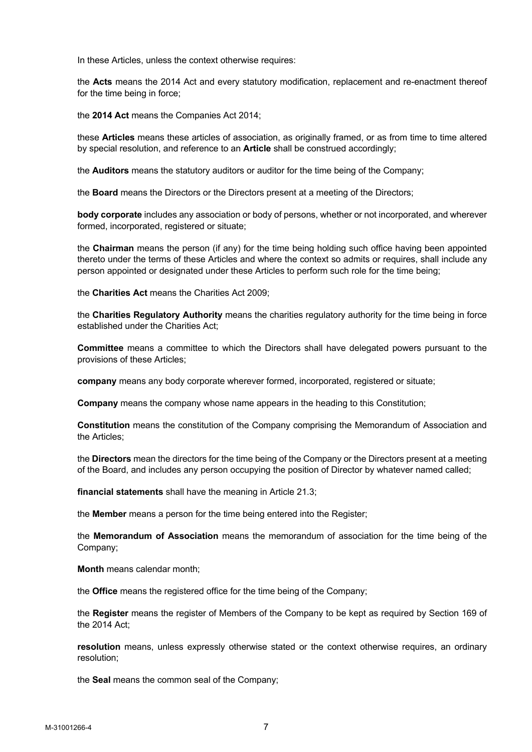In these Articles, unless the context otherwise requires:

the **Acts** means the 2014 Act and every statutory modification, replacement and re-enactment thereof for the time being in force;

the **2014 Act** means the Companies Act 2014;

these **Articles** means these articles of association, as originally framed, or as from time to time altered by special resolution, and reference to an **Article** shall be construed accordingly;

the **Auditors** means the statutory auditors or auditor for the time being of the Company;

the **Board** means the Directors or the Directors present at a meeting of the Directors;

**body corporate** includes any association or body of persons, whether or not incorporated, and wherever formed, incorporated, registered or situate;

the **Chairman** means the person (if any) for the time being holding such office having been appointed thereto under the terms of these Articles and where the context so admits or requires, shall include any person appointed or designated under these Articles to perform such role for the time being;

the **Charities Act** means the Charities Act 2009;

the **Charities Regulatory Authority** means the charities regulatory authority for the time being in force established under the Charities Act;

**Committee** means a committee to which the Directors shall have delegated powers pursuant to the provisions of these Articles;

**company** means any body corporate wherever formed, incorporated, registered or situate;

**Company** means the company whose name appears in the heading to this Constitution;

**Constitution** means the constitution of the Company comprising the Memorandum of Association and the Articles;

the **Directors** mean the directors for the time being of the Company or the Directors present at a meeting of the Board, and includes any person occupying the position of Director by whatever named called;

**financial statements** shall have the meaning in Article 21.3;

the **Member** means a person for the time being entered into the Register;

the **Memorandum of Association** means the memorandum of association for the time being of the Company;

**Month** means calendar month;

the **Office** means the registered office for the time being of the Company;

the **Register** means the register of Members of the Company to be kept as required by Section 169 of the 2014 Act;

**resolution** means, unless expressly otherwise stated or the context otherwise requires, an ordinary resolution;

the **Seal** means the common seal of the Company;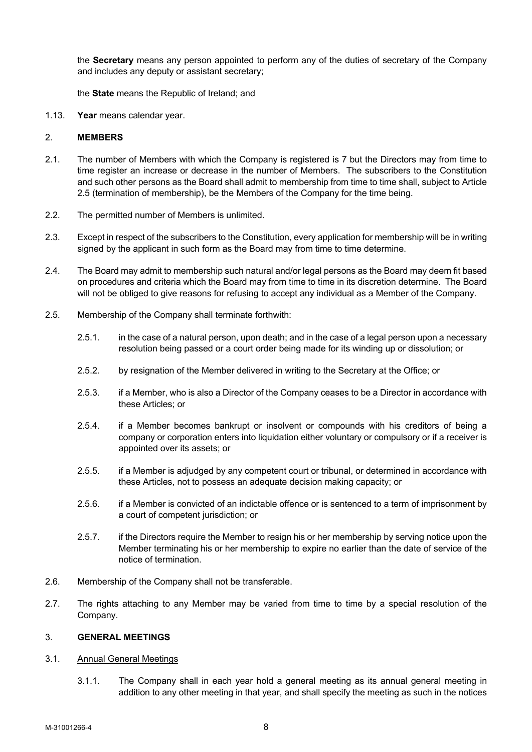the **Secretary** means any person appointed to perform any of the duties of secretary of the Company and includes any deputy or assistant secretary;

the **State** means the Republic of Ireland; and

1.13. **Year** means calendar year.

### 2. **MEMBERS**

- 2.1. The number of Members with which the Company is registered is 7 but the Directors may from time to time register an increase or decrease in the number of Members. The subscribers to the Constitution and such other persons as the Board shall admit to membership from time to time shall, subject to Article 2.5 (termination of membership), be the Members of the Company for the time being.
- 2.2. The permitted number of Members is unlimited.
- 2.3. Except in respect of the subscribers to the Constitution, every application for membership will be in writing signed by the applicant in such form as the Board may from time to time determine.
- 2.4. The Board may admit to membership such natural and/or legal persons as the Board may deem fit based on procedures and criteria which the Board may from time to time in its discretion determine. The Board will not be obliged to give reasons for refusing to accept any individual as a Member of the Company.
- 2.5. Membership of the Company shall terminate forthwith:
	- 2.5.1. in the case of a natural person, upon death; and in the case of a legal person upon a necessary resolution being passed or a court order being made for its winding up or dissolution; or
	- 2.5.2. by resignation of the Member delivered in writing to the Secretary at the Office; or
	- 2.5.3. if a Member, who is also a Director of the Company ceases to be a Director in accordance with these Articles; or
	- 2.5.4. if a Member becomes bankrupt or insolvent or compounds with his creditors of being a company or corporation enters into liquidation either voluntary or compulsory or if a receiver is appointed over its assets; or
	- 2.5.5. if a Member is adjudged by any competent court or tribunal, or determined in accordance with these Articles, not to possess an adequate decision making capacity; or
	- 2.5.6. if a Member is convicted of an indictable offence or is sentenced to a term of imprisonment by a court of competent jurisdiction; or
	- 2.5.7. if the Directors require the Member to resign his or her membership by serving notice upon the Member terminating his or her membership to expire no earlier than the date of service of the notice of termination.
- 2.6. Membership of the Company shall not be transferable.
- 2.7. The rights attaching to any Member may be varied from time to time by a special resolution of the Company.

#### 3. **GENERAL MEETINGS**

#### 3.1. Annual General Meetings

3.1.1. The Company shall in each year hold a general meeting as its annual general meeting in addition to any other meeting in that year, and shall specify the meeting as such in the notices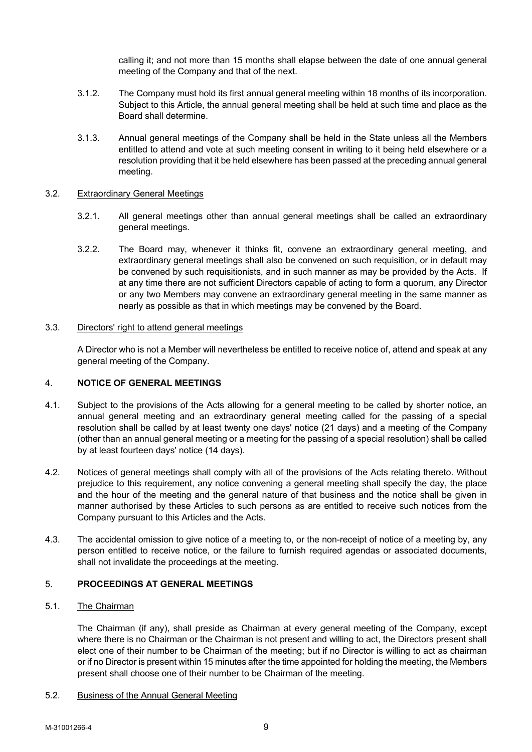calling it; and not more than 15 months shall elapse between the date of one annual general meeting of the Company and that of the next.

- 3.1.2. The Company must hold its first annual general meeting within 18 months of its incorporation. Subject to this Article, the annual general meeting shall be held at such time and place as the Board shall determine.
- 3.1.3. Annual general meetings of the Company shall be held in the State unless all the Members entitled to attend and vote at such meeting consent in writing to it being held elsewhere or a resolution providing that it be held elsewhere has been passed at the preceding annual general meeting.

### 3.2. Extraordinary General Meetings

- 3.2.1. All general meetings other than annual general meetings shall be called an extraordinary general meetings.
- 3.2.2. The Board may, whenever it thinks fit, convene an extraordinary general meeting, and extraordinary general meetings shall also be convened on such requisition, or in default may be convened by such requisitionists, and in such manner as may be provided by the Acts. If at any time there are not sufficient Directors capable of acting to form a quorum, any Director or any two Members may convene an extraordinary general meeting in the same manner as nearly as possible as that in which meetings may be convened by the Board.

## 3.3. Directors' right to attend general meetings

A Director who is not a Member will nevertheless be entitled to receive notice of, attend and speak at any general meeting of the Company.

## 4. **NOTICE OF GENERAL MEETINGS**

- 4.1. Subject to the provisions of the Acts allowing for a general meeting to be called by shorter notice, an annual general meeting and an extraordinary general meeting called for the passing of a special resolution shall be called by at least twenty one days' notice (21 days) and a meeting of the Company (other than an annual general meeting or a meeting for the passing of a special resolution) shall be called by at least fourteen days' notice (14 days).
- 4.2. Notices of general meetings shall comply with all of the provisions of the Acts relating thereto. Without prejudice to this requirement, any notice convening a general meeting shall specify the day, the place and the hour of the meeting and the general nature of that business and the notice shall be given in manner authorised by these Articles to such persons as are entitled to receive such notices from the Company pursuant to this Articles and the Acts.
- 4.3. The accidental omission to give notice of a meeting to, or the non-receipt of notice of a meeting by, any person entitled to receive notice, or the failure to furnish required agendas or associated documents, shall not invalidate the proceedings at the meeting.

# 5. **PROCEEDINGS AT GENERAL MEETINGS**

## 5.1. The Chairman

The Chairman (if any), shall preside as Chairman at every general meeting of the Company, except where there is no Chairman or the Chairman is not present and willing to act, the Directors present shall elect one of their number to be Chairman of the meeting; but if no Director is willing to act as chairman or if no Director is present within 15 minutes after the time appointed for holding the meeting, the Members present shall choose one of their number to be Chairman of the meeting.

#### 5.2. Business of the Annual General Meeting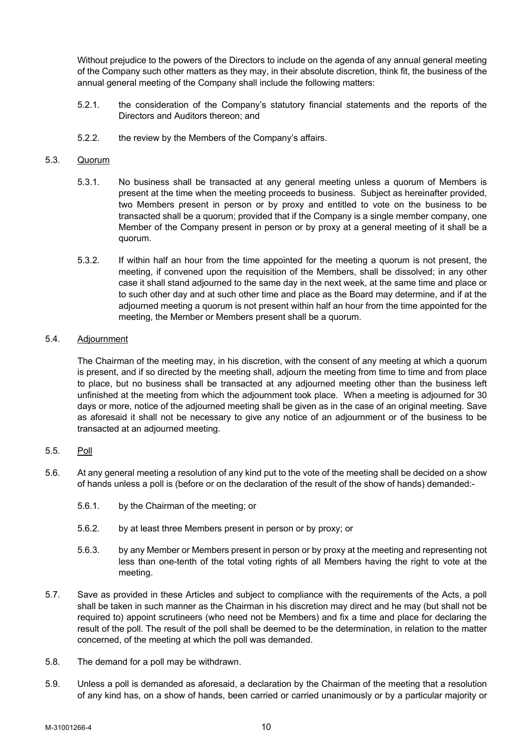Without prejudice to the powers of the Directors to include on the agenda of any annual general meeting of the Company such other matters as they may, in their absolute discretion, think fit, the business of the annual general meeting of the Company shall include the following matters:

- 5.2.1. the consideration of the Company's statutory financial statements and the reports of the Directors and Auditors thereon; and
- 5.2.2. the review by the Members of the Company's affairs.

## 5.3. Quorum

- 5.3.1. No business shall be transacted at any general meeting unless a quorum of Members is present at the time when the meeting proceeds to business. Subject as hereinafter provided, two Members present in person or by proxy and entitled to vote on the business to be transacted shall be a quorum; provided that if the Company is a single member company, one Member of the Company present in person or by proxy at a general meeting of it shall be a quorum.
- 5.3.2. If within half an hour from the time appointed for the meeting a quorum is not present, the meeting, if convened upon the requisition of the Members, shall be dissolved; in any other case it shall stand adjourned to the same day in the next week, at the same time and place or to such other day and at such other time and place as the Board may determine, and if at the adjourned meeting a quorum is not present within half an hour from the time appointed for the meeting, the Member or Members present shall be a quorum.

# 5.4. Adjournment

The Chairman of the meeting may, in his discretion, with the consent of any meeting at which a quorum is present, and if so directed by the meeting shall, adjourn the meeting from time to time and from place to place, but no business shall be transacted at any adjourned meeting other than the business left unfinished at the meeting from which the adjournment took place. When a meeting is adjourned for 30 days or more, notice of the adjourned meeting shall be given as in the case of an original meeting. Save as aforesaid it shall not be necessary to give any notice of an adjournment or of the business to be transacted at an adjourned meeting.

## 5.5. Poll

- 5.6. At any general meeting a resolution of any kind put to the vote of the meeting shall be decided on a show of hands unless a poll is (before or on the declaration of the result of the show of hands) demanded:-
	- 5.6.1. by the Chairman of the meeting; or
	- 5.6.2. by at least three Members present in person or by proxy; or
	- 5.6.3. by any Member or Members present in person or by proxy at the meeting and representing not less than one-tenth of the total voting rights of all Members having the right to vote at the meeting.
- 5.7. Save as provided in these Articles and subject to compliance with the requirements of the Acts, a poll shall be taken in such manner as the Chairman in his discretion may direct and he may (but shall not be required to) appoint scrutineers (who need not be Members) and fix a time and place for declaring the result of the poll. The result of the poll shall be deemed to be the determination, in relation to the matter concerned, of the meeting at which the poll was demanded.
- 5.8. The demand for a poll may be withdrawn.
- 5.9. Unless a poll is demanded as aforesaid, a declaration by the Chairman of the meeting that a resolution of any kind has, on a show of hands, been carried or carried unanimously or by a particular majority or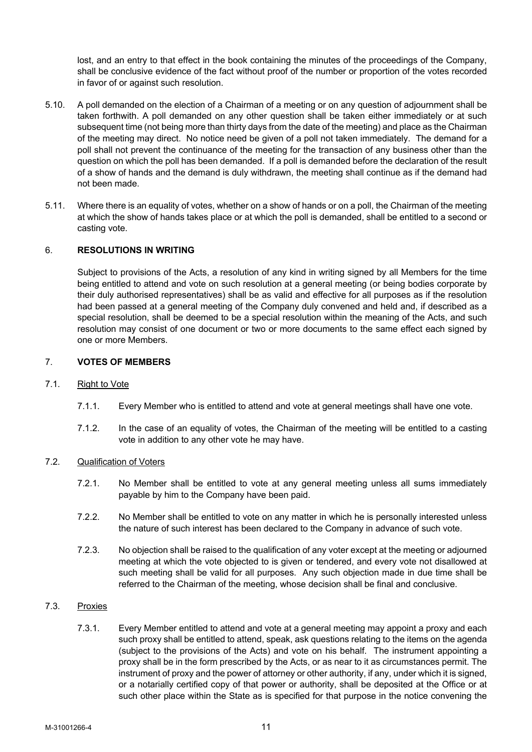lost, and an entry to that effect in the book containing the minutes of the proceedings of the Company, shall be conclusive evidence of the fact without proof of the number or proportion of the votes recorded in favor of or against such resolution.

- 5.10. A poll demanded on the election of a Chairman of a meeting or on any question of adjournment shall be taken forthwith. A poll demanded on any other question shall be taken either immediately or at such subsequent time (not being more than thirty days from the date of the meeting) and place as the Chairman of the meeting may direct. No notice need be given of a poll not taken immediately. The demand for a poll shall not prevent the continuance of the meeting for the transaction of any business other than the question on which the poll has been demanded. If a poll is demanded before the declaration of the result of a show of hands and the demand is duly withdrawn, the meeting shall continue as if the demand had not been made.
- 5.11. Where there is an equality of votes, whether on a show of hands or on a poll, the Chairman of the meeting at which the show of hands takes place or at which the poll is demanded, shall be entitled to a second or casting vote.

## 6. **RESOLUTIONS IN WRITING**

Subject to provisions of the Acts, a resolution of any kind in writing signed by all Members for the time being entitled to attend and vote on such resolution at a general meeting (or being bodies corporate by their duly authorised representatives) shall be as valid and effective for all purposes as if the resolution had been passed at a general meeting of the Company duly convened and held and, if described as a special resolution, shall be deemed to be a special resolution within the meaning of the Acts, and such resolution may consist of one document or two or more documents to the same effect each signed by one or more Members.

## 7. **VOTES OF MEMBERS**

#### 7.1. Right to Vote

- 7.1.1. Every Member who is entitled to attend and vote at general meetings shall have one vote.
- 7.1.2. In the case of an equality of votes, the Chairman of the meeting will be entitled to a casting vote in addition to any other vote he may have.

#### 7.2. Qualification of Voters

- 7.2.1. No Member shall be entitled to vote at any general meeting unless all sums immediately payable by him to the Company have been paid.
- 7.2.2. No Member shall be entitled to vote on any matter in which he is personally interested unless the nature of such interest has been declared to the Company in advance of such vote.
- 7.2.3. No objection shall be raised to the qualification of any voter except at the meeting or adjourned meeting at which the vote objected to is given or tendered, and every vote not disallowed at such meeting shall be valid for all purposes. Any such objection made in due time shall be referred to the Chairman of the meeting, whose decision shall be final and conclusive.

# 7.3. Proxies

7.3.1. Every Member entitled to attend and vote at a general meeting may appoint a proxy and each such proxy shall be entitled to attend, speak, ask questions relating to the items on the agenda (subject to the provisions of the Acts) and vote on his behalf. The instrument appointing a proxy shall be in the form prescribed by the Acts, or as near to it as circumstances permit. The instrument of proxy and the power of attorney or other authority, if any, under which it is signed, or a notarially certified copy of that power or authority, shall be deposited at the Office or at such other place within the State as is specified for that purpose in the notice convening the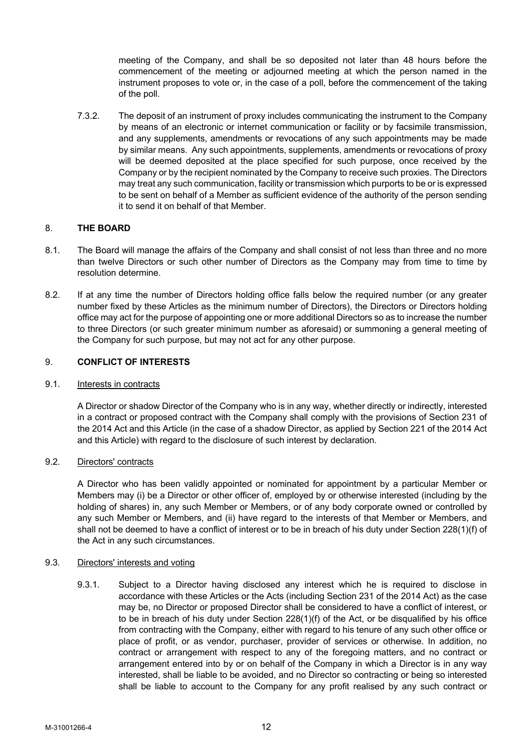meeting of the Company, and shall be so deposited not later than 48 hours before the commencement of the meeting or adjourned meeting at which the person named in the instrument proposes to vote or, in the case of a poll, before the commencement of the taking of the poll.

7.3.2. The deposit of an instrument of proxy includes communicating the instrument to the Company by means of an electronic or internet communication or facility or by facsimile transmission, and any supplements, amendments or revocations of any such appointments may be made by similar means. Any such appointments, supplements, amendments or revocations of proxy will be deemed deposited at the place specified for such purpose, once received by the Company or by the recipient nominated by the Company to receive such proxies. The Directors may treat any such communication, facility or transmission which purports to be or is expressed to be sent on behalf of a Member as sufficient evidence of the authority of the person sending it to send it on behalf of that Member.

# 8. **THE BOARD**

- 8.1. The Board will manage the affairs of the Company and shall consist of not less than three and no more than twelve Directors or such other number of Directors as the Company may from time to time by resolution determine.
- 8.2. If at any time the number of Directors holding office falls below the required number (or any greater number fixed by these Articles as the minimum number of Directors), the Directors or Directors holding office may act for the purpose of appointing one or more additional Directors so as to increase the number to three Directors (or such greater minimum number as aforesaid) or summoning a general meeting of the Company for such purpose, but may not act for any other purpose.

# 9. **CONFLICT OF INTERESTS**

## 9.1. **Interests in contracts**

A Director or shadow Director of the Company who is in any way, whether directly or indirectly, interested in a contract or proposed contract with the Company shall comply with the provisions of Section 231 of the 2014 Act and this Article (in the case of a shadow Director, as applied by Section 221 of the 2014 Act and this Article) with regard to the disclosure of such interest by declaration.

## 9.2. Directors' contracts

A Director who has been validly appointed or nominated for appointment by a particular Member or Members may (i) be a Director or other officer of, employed by or otherwise interested (including by the holding of shares) in, any such Member or Members, or of any body corporate owned or controlled by any such Member or Members, and (ii) have regard to the interests of that Member or Members, and shall not be deemed to have a conflict of interest or to be in breach of his duty under Section 228(1)(f) of the Act in any such circumstances.

# 9.3. Directors' interests and voting

9.3.1. Subject to a Director having disclosed any interest which he is required to disclose in accordance with these Articles or the Acts (including Section 231 of the 2014 Act) as the case may be, no Director or proposed Director shall be considered to have a conflict of interest, or to be in breach of his duty under Section 228(1)(f) of the Act, or be disqualified by his office from contracting with the Company, either with regard to his tenure of any such other office or place of profit, or as vendor, purchaser, provider of services or otherwise. In addition, no contract or arrangement with respect to any of the foregoing matters, and no contract or arrangement entered into by or on behalf of the Company in which a Director is in any way interested, shall be liable to be avoided, and no Director so contracting or being so interested shall be liable to account to the Company for any profit realised by any such contract or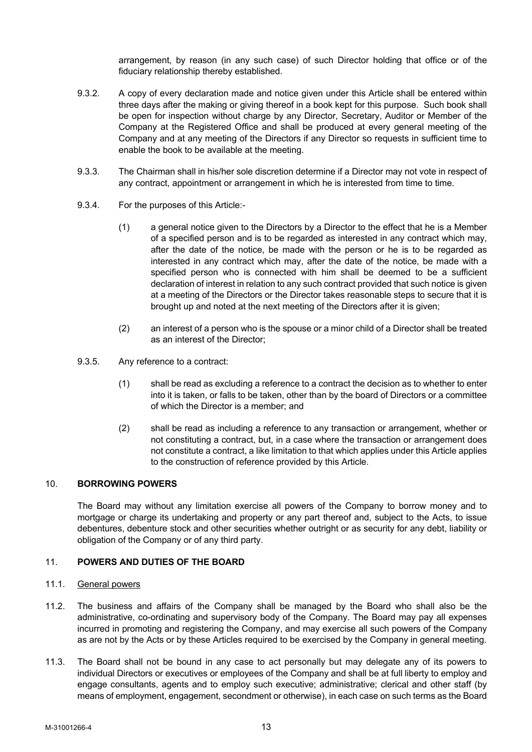arrangement, by reason (in any such case) of such Director holding that office or of the fiduciary relationship thereby established.

- 9.3.2. A copy of every declaration made and notice given under this Article shall be entered within three days after the making or giving thereof in a book kept for this purpose. Such book shall be open for inspection without charge by any Director, Secretary, Auditor or Member of the Company at the Registered Office and shall be produced at every general meeting of the Company and at any meeting of the Directors if any Director so requests in sufficient time to enable the book to be available at the meeting.
- 9.3.3. The Chairman shall in his/her sole discretion determine if a Director may not vote in respect of any contract, appointment or arrangement in which he is interested from time to time.
- 9.3.4. For the purposes of this Article:-
	- (1) a general notice given to the Directors by a Director to the effect that he is a Member of a specified person and is to be regarded as interested in any contract which may, after the date of the notice, be made with the person or he is to be regarded as interested in any contract which may, after the date of the notice, be made with a specified person who is connected with him shall be deemed to be a sufficient declaration of interest in relation to any such contract provided that such notice is given at a meeting of the Directors or the Director takes reasonable steps to secure that it is brought up and noted at the next meeting of the Directors after it is given;
	- (2) an interest of a person who is the spouse or a minor child of a Director shall be treated as an interest of the Director;
- 9.3.5. Any reference to a contract:
	- (1) shall be read as excluding a reference to a contract the decision as to whether to enter into it is taken, or falls to be taken, other than by the board of Directors or a committee of which the Director is a member; and
	- (2) shall be read as including a reference to any transaction or arrangement, whether or not constituting a contract, but, in a case where the transaction or arrangement does not constitute a contract, a like limitation to that which applies under this Article applies to the construction of reference provided by this Article.

## 10. **BORROWING POWERS**

The Board may without any limitation exercise all powers of the Company to borrow money and to mortgage or charge its undertaking and property or any part thereof and, subject to the Acts, to issue debentures, debenture stock and other securities whether outright or as security for any debt, liability or obligation of the Company or of any third party.

## 11. **POWERS AND DUTIES OF THE BOARD**

#### 11.1. General powers

- 11.2. The business and affairs of the Company shall be managed by the Board who shall also be the administrative, co-ordinating and supervisory body of the Company. The Board may pay all expenses incurred in promoting and registering the Company, and may exercise all such powers of the Company as are not by the Acts or by these Articles required to be exercised by the Company in general meeting.
- 11.3. The Board shall not be bound in any case to act personally but may delegate any of its powers to individual Directors or executives or employees of the Company and shall be at full liberty to employ and engage consultants, agents and to employ such executive; administrative; clerical and other staff (by means of employment, engagement, secondment or otherwise), in each case on such terms as the Board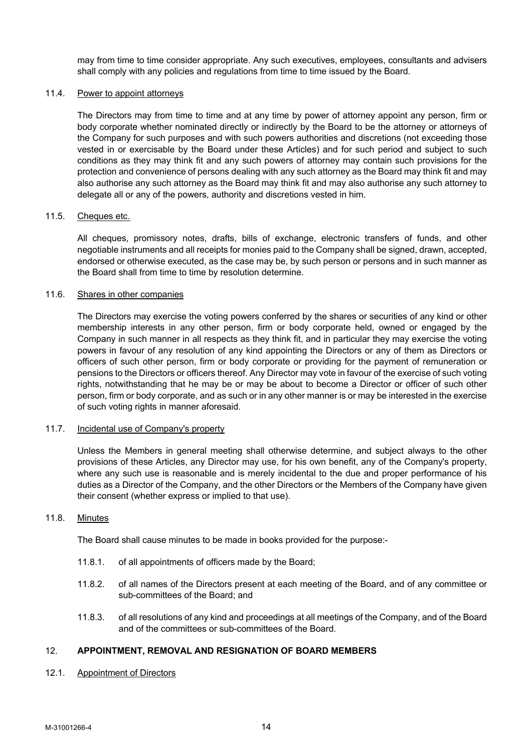may from time to time consider appropriate. Any such executives, employees, consultants and advisers shall comply with any policies and regulations from time to time issued by the Board.

### 11.4. Power to appoint attorneys

The Directors may from time to time and at any time by power of attorney appoint any person, firm or body corporate whether nominated directly or indirectly by the Board to be the attorney or attorneys of the Company for such purposes and with such powers authorities and discretions (not exceeding those vested in or exercisable by the Board under these Articles) and for such period and subject to such conditions as they may think fit and any such powers of attorney may contain such provisions for the protection and convenience of persons dealing with any such attorney as the Board may think fit and may also authorise any such attorney as the Board may think fit and may also authorise any such attorney to delegate all or any of the powers, authority and discretions vested in him.

### 11.5. Cheques etc.

All cheques, promissory notes, drafts, bills of exchange, electronic transfers of funds, and other negotiable instruments and all receipts for monies paid to the Company shall be signed, drawn, accepted, endorsed or otherwise executed, as the case may be, by such person or persons and in such manner as the Board shall from time to time by resolution determine.

### 11.6. Shares in other companies

The Directors may exercise the voting powers conferred by the shares or securities of any kind or other membership interests in any other person, firm or body corporate held, owned or engaged by the Company in such manner in all respects as they think fit, and in particular they may exercise the voting powers in favour of any resolution of any kind appointing the Directors or any of them as Directors or officers of such other person, firm or body corporate or providing for the payment of remuneration or pensions to the Directors or officers thereof. Any Director may vote in favour of the exercise of such voting rights, notwithstanding that he may be or may be about to become a Director or officer of such other person, firm or body corporate, and as such or in any other manner is or may be interested in the exercise of such voting rights in manner aforesaid.

## 11.7. Incidental use of Company's property

Unless the Members in general meeting shall otherwise determine, and subject always to the other provisions of these Articles, any Director may use, for his own benefit, any of the Company's property, where any such use is reasonable and is merely incidental to the due and proper performance of his duties as a Director of the Company, and the other Directors or the Members of the Company have given their consent (whether express or implied to that use).

## 11.8. Minutes

The Board shall cause minutes to be made in books provided for the purpose:-

- 11.8.1. of all appointments of officers made by the Board;
- 11.8.2. of all names of the Directors present at each meeting of the Board, and of any committee or sub-committees of the Board; and
- 11.8.3. of all resolutions of any kind and proceedings at all meetings of the Company, and of the Board and of the committees or sub-committees of the Board.

# 12. **APPOINTMENT, REMOVAL AND RESIGNATION OF BOARD MEMBERS**

12.1. Appointment of Directors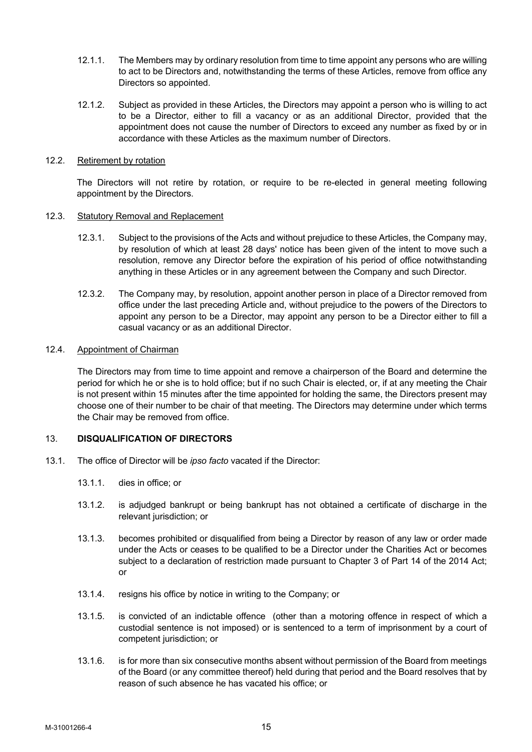- 12.1.1. The Members may by ordinary resolution from time to time appoint any persons who are willing to act to be Directors and, notwithstanding the terms of these Articles, remove from office any Directors so appointed.
- 12.1.2. Subject as provided in these Articles, the Directors may appoint a person who is willing to act to be a Director, either to fill a vacancy or as an additional Director, provided that the appointment does not cause the number of Directors to exceed any number as fixed by or in accordance with these Articles as the maximum number of Directors.

#### 12.2. Retirement by rotation

The Directors will not retire by rotation, or require to be re-elected in general meeting following appointment by the Directors.

### 12.3. Statutory Removal and Replacement

- 12.3.1. Subject to the provisions of the Acts and without prejudice to these Articles, the Company may, by resolution of which at least 28 days' notice has been given of the intent to move such a resolution, remove any Director before the expiration of his period of office notwithstanding anything in these Articles or in any agreement between the Company and such Director.
- 12.3.2. The Company may, by resolution, appoint another person in place of a Director removed from office under the last preceding Article and, without prejudice to the powers of the Directors to appoint any person to be a Director, may appoint any person to be a Director either to fill a casual vacancy or as an additional Director.

## 12.4. Appointment of Chairman

The Directors may from time to time appoint and remove a chairperson of the Board and determine the period for which he or she is to hold office; but if no such Chair is elected, or, if at any meeting the Chair is not present within 15 minutes after the time appointed for holding the same, the Directors present may choose one of their number to be chair of that meeting. The Directors may determine under which terms the Chair may be removed from office.

## 13. **DISQUALIFICATION OF DIRECTORS**

- 13.1. The office of Director will be *ipso facto* vacated if the Director:
	- 13.1.1. dies in office; or
	- 13.1.2. is adjudged bankrupt or being bankrupt has not obtained a certificate of discharge in the relevant jurisdiction; or
	- 13.1.3. becomes prohibited or disqualified from being a Director by reason of any law or order made under the Acts or ceases to be qualified to be a Director under the Charities Act or becomes subject to a declaration of restriction made pursuant to Chapter 3 of Part 14 of the 2014 Act; or
	- 13.1.4. resigns his office by notice in writing to the Company; or
	- 13.1.5. is convicted of an indictable offence (other than a motoring offence in respect of which a custodial sentence is not imposed) or is sentenced to a term of imprisonment by a court of competent jurisdiction; or
	- 13.1.6. is for more than six consecutive months absent without permission of the Board from meetings of the Board (or any committee thereof) held during that period and the Board resolves that by reason of such absence he has vacated his office; or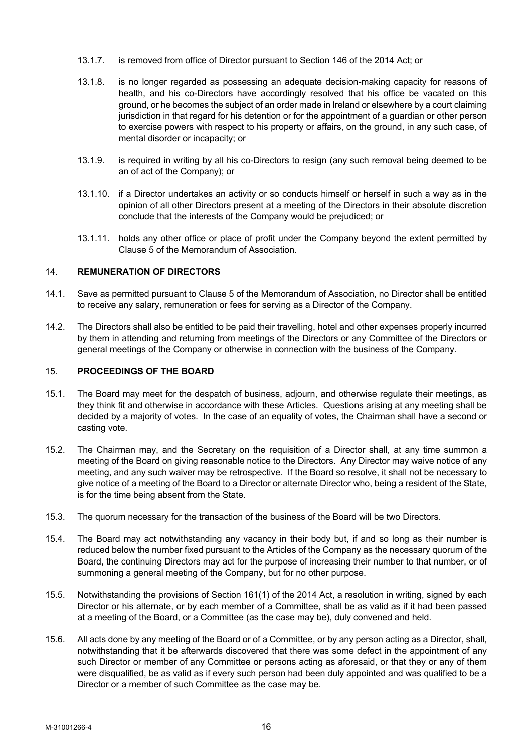- 13.1.7. is removed from office of Director pursuant to Section 146 of the 2014 Act; or
- 13.1.8. is no longer regarded as possessing an adequate decision-making capacity for reasons of health, and his co-Directors have accordingly resolved that his office be vacated on this ground, or he becomes the subject of an order made in Ireland or elsewhere by a court claiming jurisdiction in that regard for his detention or for the appointment of a guardian or other person to exercise powers with respect to his property or affairs, on the ground, in any such case, of mental disorder or incapacity; or
- 13.1.9. is required in writing by all his co-Directors to resign (any such removal being deemed to be an of act of the Company); or
- 13.1.10. if a Director undertakes an activity or so conducts himself or herself in such a way as in the opinion of all other Directors present at a meeting of the Directors in their absolute discretion conclude that the interests of the Company would be prejudiced; or
- 13.1.11. holds any other office or place of profit under the Company beyond the extent permitted by Clause 5 of the Memorandum of Association.

# 14. **REMUNERATION OF DIRECTORS**

- 14.1. Save as permitted pursuant to Clause 5 of the Memorandum of Association, no Director shall be entitled to receive any salary, remuneration or fees for serving as a Director of the Company.
- 14.2. The Directors shall also be entitled to be paid their travelling, hotel and other expenses properly incurred by them in attending and returning from meetings of the Directors or any Committee of the Directors or general meetings of the Company or otherwise in connection with the business of the Company*.*

# 15. **PROCEEDINGS OF THE BOARD**

- 15.1. The Board may meet for the despatch of business, adjourn, and otherwise regulate their meetings, as they think fit and otherwise in accordance with these Articles. Questions arising at any meeting shall be decided by a majority of votes. In the case of an equality of votes, the Chairman shall have a second or casting vote.
- 15.2. The Chairman may, and the Secretary on the requisition of a Director shall, at any time summon a meeting of the Board on giving reasonable notice to the Directors. Any Director may waive notice of any meeting, and any such waiver may be retrospective. If the Board so resolve, it shall not be necessary to give notice of a meeting of the Board to a Director or alternate Director who, being a resident of the State, is for the time being absent from the State.
- 15.3. The quorum necessary for the transaction of the business of the Board will be two Directors.
- 15.4. The Board may act notwithstanding any vacancy in their body but, if and so long as their number is reduced below the number fixed pursuant to the Articles of the Company as the necessary quorum of the Board, the continuing Directors may act for the purpose of increasing their number to that number, or of summoning a general meeting of the Company, but for no other purpose.
- 15.5. Notwithstanding the provisions of Section 161(1) of the 2014 Act, a resolution in writing, signed by each Director or his alternate, or by each member of a Committee, shall be as valid as if it had been passed at a meeting of the Board, or a Committee (as the case may be), duly convened and held.
- 15.6. All acts done by any meeting of the Board or of a Committee, or by any person acting as a Director, shall, notwithstanding that it be afterwards discovered that there was some defect in the appointment of any such Director or member of any Committee or persons acting as aforesaid, or that they or any of them were disqualified, be as valid as if every such person had been duly appointed and was qualified to be a Director or a member of such Committee as the case may be.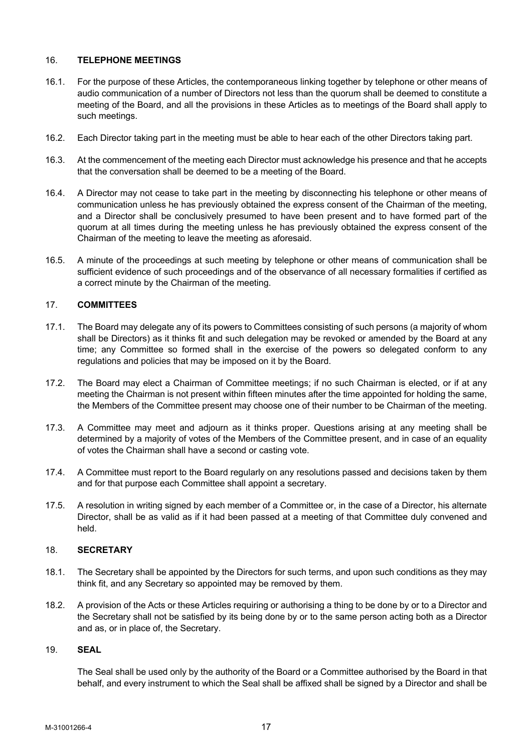## 16. **TELEPHONE MEETINGS**

- 16.1. For the purpose of these Articles, the contemporaneous linking together by telephone or other means of audio communication of a number of Directors not less than the quorum shall be deemed to constitute a meeting of the Board, and all the provisions in these Articles as to meetings of the Board shall apply to such meetings.
- 16.2. Each Director taking part in the meeting must be able to hear each of the other Directors taking part.
- 16.3. At the commencement of the meeting each Director must acknowledge his presence and that he accepts that the conversation shall be deemed to be a meeting of the Board.
- 16.4. A Director may not cease to take part in the meeting by disconnecting his telephone or other means of communication unless he has previously obtained the express consent of the Chairman of the meeting, and a Director shall be conclusively presumed to have been present and to have formed part of the quorum at all times during the meeting unless he has previously obtained the express consent of the Chairman of the meeting to leave the meeting as aforesaid.
- 16.5. A minute of the proceedings at such meeting by telephone or other means of communication shall be sufficient evidence of such proceedings and of the observance of all necessary formalities if certified as a correct minute by the Chairman of the meeting.

## 17. **COMMITTEES**

- 17.1. The Board may delegate any of its powers to Committees consisting of such persons (a majority of whom shall be Directors) as it thinks fit and such delegation may be revoked or amended by the Board at any time; any Committee so formed shall in the exercise of the powers so delegated conform to any regulations and policies that may be imposed on it by the Board.
- 17.2. The Board may elect a Chairman of Committee meetings; if no such Chairman is elected, or if at any meeting the Chairman is not present within fifteen minutes after the time appointed for holding the same, the Members of the Committee present may choose one of their number to be Chairman of the meeting.
- 17.3. A Committee may meet and adjourn as it thinks proper. Questions arising at any meeting shall be determined by a majority of votes of the Members of the Committee present, and in case of an equality of votes the Chairman shall have a second or casting vote.
- 17.4. A Committee must report to the Board regularly on any resolutions passed and decisions taken by them and for that purpose each Committee shall appoint a secretary.
- 17.5. A resolution in writing signed by each member of a Committee or, in the case of a Director, his alternate Director, shall be as valid as if it had been passed at a meeting of that Committee duly convened and held.

### 18. **SECRETARY**

- 18.1. The Secretary shall be appointed by the Directors for such terms, and upon such conditions as they may think fit, and any Secretary so appointed may be removed by them.
- 18.2. A provision of the Acts or these Articles requiring or authorising a thing to be done by or to a Director and the Secretary shall not be satisfied by its being done by or to the same person acting both as a Director and as, or in place of, the Secretary.

## 19. **SEAL**

The Seal shall be used only by the authority of the Board or a Committee authorised by the Board in that behalf, and every instrument to which the Seal shall be affixed shall be signed by a Director and shall be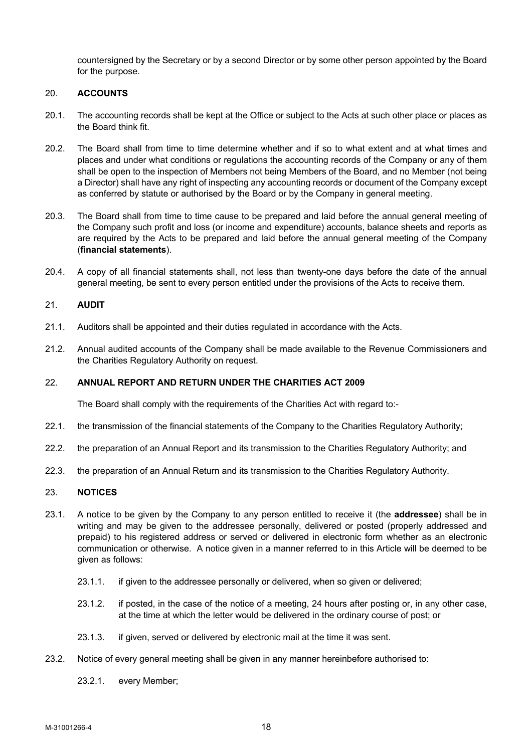countersigned by the Secretary or by a second Director or by some other person appointed by the Board for the purpose.

## 20. **ACCOUNTS**

- 20.1. The accounting records shall be kept at the Office or subject to the Acts at such other place or places as the Board think fit.
- 20.2. The Board shall from time to time determine whether and if so to what extent and at what times and places and under what conditions or regulations the accounting records of the Company or any of them shall be open to the inspection of Members not being Members of the Board, and no Member (not being a Director) shall have any right of inspecting any accounting records or document of the Company except as conferred by statute or authorised by the Board or by the Company in general meeting.
- 20.3. The Board shall from time to time cause to be prepared and laid before the annual general meeting of the Company such profit and loss (or income and expenditure) accounts, balance sheets and reports as are required by the Acts to be prepared and laid before the annual general meeting of the Company (**financial statements**).
- 20.4. A copy of all financial statements shall, not less than twenty-one days before the date of the annual general meeting, be sent to every person entitled under the provisions of the Acts to receive them.

### 21. **AUDIT**

- 21.1. Auditors shall be appointed and their duties regulated in accordance with the Acts.
- 21.2. Annual audited accounts of the Company shall be made available to the Revenue Commissioners and the Charities Regulatory Authority on request.

### 22. **ANNUAL REPORT AND RETURN UNDER THE CHARITIES ACT 2009**

The Board shall comply with the requirements of the Charities Act with regard to:-

- 22.1. the transmission of the financial statements of the Company to the Charities Regulatory Authority;
- 22.2. the preparation of an Annual Report and its transmission to the Charities Regulatory Authority; and
- 22.3. the preparation of an Annual Return and its transmission to the Charities Regulatory Authority.

## 23. **NOTICES**

- 23.1. A notice to be given by the Company to any person entitled to receive it (the **addressee**) shall be in writing and may be given to the addressee personally, delivered or posted (properly addressed and prepaid) to his registered address or served or delivered in electronic form whether as an electronic communication or otherwise. A notice given in a manner referred to in this Article will be deemed to be given as follows:
	- 23.1.1. if given to the addressee personally or delivered, when so given or delivered;
	- 23.1.2. if posted, in the case of the notice of a meeting, 24 hours after posting or, in any other case, at the time at which the letter would be delivered in the ordinary course of post; or
	- 23.1.3. if given, served or delivered by electronic mail at the time it was sent.
- 23.2. Notice of every general meeting shall be given in any manner hereinbefore authorised to:
	- 23.2.1. every Member;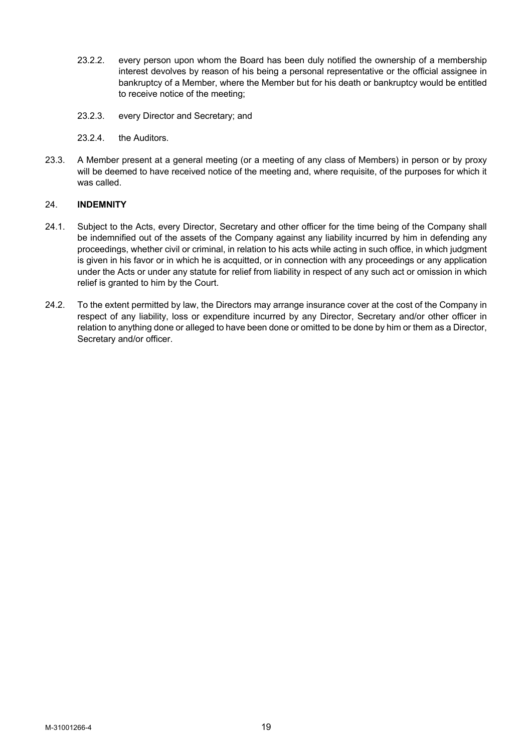- 23.2.2. every person upon whom the Board has been duly notified the ownership of a membership interest devolves by reason of his being a personal representative or the official assignee in bankruptcy of a Member, where the Member but for his death or bankruptcy would be entitled to receive notice of the meeting;
- 23.2.3. every Director and Secretary; and
- 23.2.4. the Auditors.
- 23.3. A Member present at a general meeting (or a meeting of any class of Members) in person or by proxy will be deemed to have received notice of the meeting and, where requisite, of the purposes for which it was called.

## 24. **INDEMNITY**

- 24.1. Subject to the Acts, every Director, Secretary and other officer for the time being of the Company shall be indemnified out of the assets of the Company against any liability incurred by him in defending any proceedings, whether civil or criminal, in relation to his acts while acting in such office, in which judgment is given in his favor or in which he is acquitted, or in connection with any proceedings or any application under the Acts or under any statute for relief from liability in respect of any such act or omission in which relief is granted to him by the Court.
- 24.2. To the extent permitted by law, the Directors may arrange insurance cover at the cost of the Company in respect of any liability, loss or expenditure incurred by any Director, Secretary and/or other officer in relation to anything done or alleged to have been done or omitted to be done by him or them as a Director, Secretary and/or officer.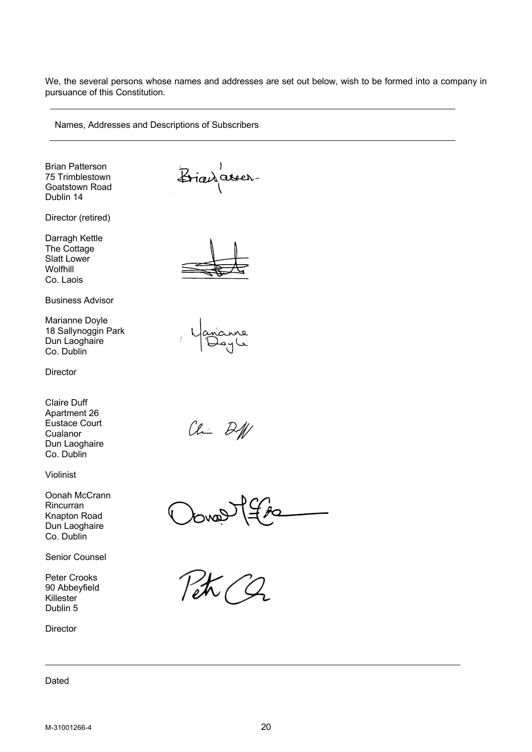We, the several persons whose names and addresses are set out below, wish to be formed into a company in pursuance of this Constitution.

Names, Addresses and Descriptions of Subscribers

Brian Patterson 75 Trimblestown Goatstown Road Dublin 14

Director (retired)

Darragh Kettle The Cottage Slatt Lower Wolfhill Co. Laois

Business Advisor

Marianne Doyle 18 Sallynoggin Park Dun Laoghaire Co. Dublin

**Director** 

Claire Duff Apartment 26 Eustace Court Cualanor Dun Laoghaire Co. Dublin

Violinist

Oonah McCrann Rincurran Knapton Road Dun Laoghaire Co. Dublin

Senior Counsel

Peter Crooks 90 Abbeyfield Killester Dublin 5

**Director** 

Dated

Bianarer.



 $CL$   $B$ 

Oover The